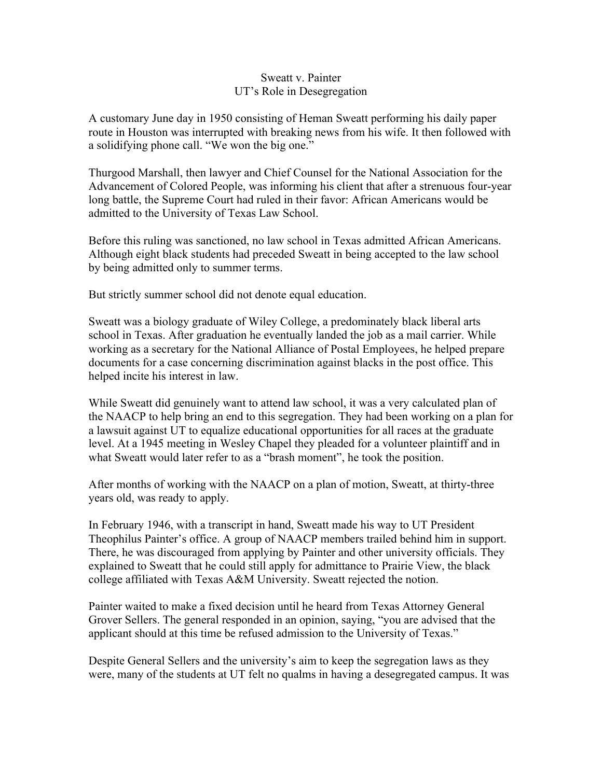## Sweatt v. Painter UT's Role in Desegregation

A customary June day in 1950 consisting of Heman Sweatt performing his daily paper route in Houston was interrupted with breaking news from his wife. It then followed with a solidifying phone call. "We won the big one."

Thurgood Marshall, then lawyer and Chief Counsel for the National Association for the Advancement of Colored People, was informing his client that after a strenuous four-year long battle, the Supreme Court had ruled in their favor: African Americans would be admitted to the University of Texas Law School.

Before this ruling was sanctioned, no law school in Texas admitted African Americans. Although eight black students had preceded Sweatt in being accepted to the law school by being admitted only to summer terms.

But strictly summer school did not denote equal education.

Sweatt was a biology graduate of Wiley College, a predominately black liberal arts school in Texas. After graduation he eventually landed the job as a mail carrier. While working as a secretary for the National Alliance of Postal Employees, he helped prepare documents for a case concerning discrimination against blacks in the post office. This helped incite his interest in law.

While Sweatt did genuinely want to attend law school, it was a very calculated plan of the NAACP to help bring an end to this segregation. They had been working on a plan for a lawsuit against UT to equalize educational opportunities for all races at the graduate level. At a 1945 meeting in Wesley Chapel they pleaded for a volunteer plaintiff and in what Sweatt would later refer to as a "brash moment", he took the position.

After months of working with the NAACP on a plan of motion, Sweatt, at thirty-three years old, was ready to apply.

In February 1946, with a transcript in hand, Sweatt made his way to UT President Theophilus Painter's office. A group of NAACP members trailed behind him in support. There, he was discouraged from applying by Painter and other university officials. They explained to Sweatt that he could still apply for admittance to Prairie View, the black college affiliated with Texas A&M University. Sweatt rejected the notion.

Painter waited to make a fixed decision until he heard from Texas Attorney General Grover Sellers. The general responded in an opinion, saying, "you are advised that the applicant should at this time be refused admission to the University of Texas."

Despite General Sellers and the university's aim to keep the segregation laws as they were, many of the students at UT felt no qualms in having a desegregated campus. It was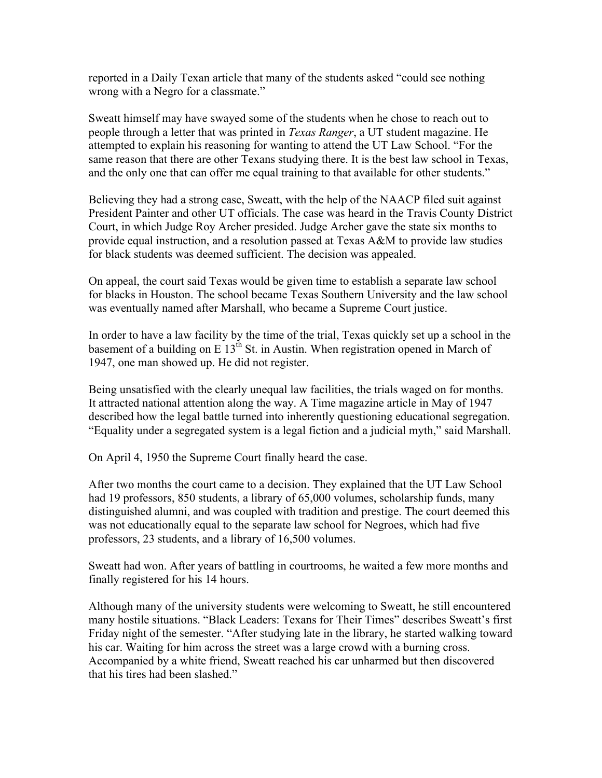reported in a Daily Texan article that many of the students asked "could see nothing wrong with a Negro for a classmate."

Sweatt himself may have swayed some of the students when he chose to reach out to people through a letter that was printed in *Texas Ranger*, a UT student magazine. He attempted to explain his reasoning for wanting to attend the UT Law School. "For the same reason that there are other Texans studying there. It is the best law school in Texas, and the only one that can offer me equal training to that available for other students."

Believing they had a strong case, Sweatt, with the help of the NAACP filed suit against President Painter and other UT officials. The case was heard in the Travis County District Court, in which Judge Roy Archer presided. Judge Archer gave the state six months to provide equal instruction, and a resolution passed at Texas A&M to provide law studies for black students was deemed sufficient. The decision was appealed.

On appeal, the court said Texas would be given time to establish a separate law school for blacks in Houston. The school became Texas Southern University and the law school was eventually named after Marshall, who became a Supreme Court justice.

In order to have a law facility by the time of the trial, Texas quickly set up a school in the basement of a building on E  $13<sup>th</sup>$  St. in Austin. When registration opened in March of 1947, one man showed up. He did not register.

Being unsatisfied with the clearly unequal law facilities, the trials waged on for months. It attracted national attention along the way. A Time magazine article in May of 1947 described how the legal battle turned into inherently questioning educational segregation. "Equality under a segregated system is a legal fiction and a judicial myth," said Marshall.

On April 4, 1950 the Supreme Court finally heard the case.

After two months the court came to a decision. They explained that the UT Law School had 19 professors, 850 students, a library of 65,000 volumes, scholarship funds, many distinguished alumni, and was coupled with tradition and prestige. The court deemed this was not educationally equal to the separate law school for Negroes, which had five professors, 23 students, and a library of 16,500 volumes.

Sweatt had won. After years of battling in courtrooms, he waited a few more months and finally registered for his 14 hours.

Although many of the university students were welcoming to Sweatt, he still encountered many hostile situations. "Black Leaders: Texans for Their Times" describes Sweatt's first Friday night of the semester. "After studying late in the library, he started walking toward his car. Waiting for him across the street was a large crowd with a burning cross. Accompanied by a white friend, Sweatt reached his car unharmed but then discovered that his tires had been slashed."